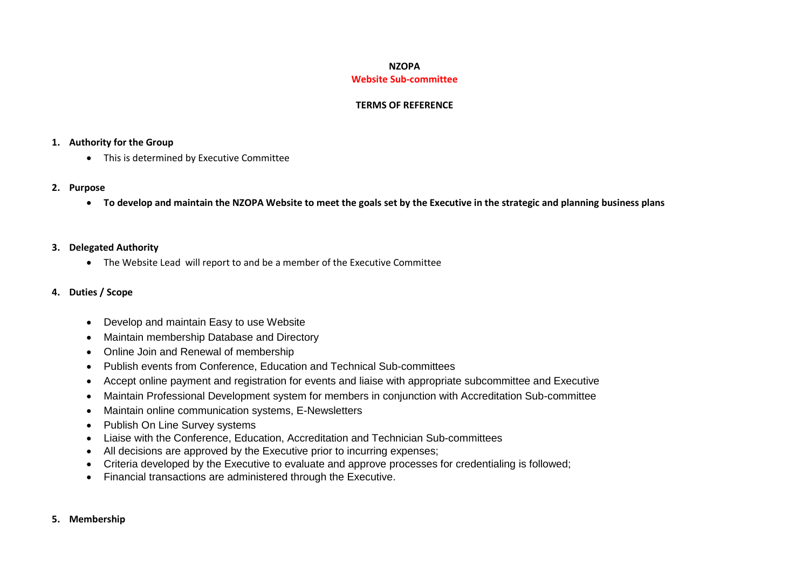#### **NZOPA Website Sub-committee**

### **TERMS OF REFERENCE**

### **1. Authority for the Group**

• This is determined by Executive Committee

#### **2. Purpose**

**To develop and maintain the NZOPA Website to meet the goals set by the Executive in the strategic and planning business plans**

## **3. Delegated Authority**

The Website Lead will report to and be a member of the Executive Committee

# **4. Duties / Scope**

- Develop and maintain Easy to use Website
- Maintain membership Database and Directory
- Online Join and Renewal of membership
- Publish events from Conference, Education and Technical Sub-committees
- Accept online payment and registration for events and liaise with appropriate subcommittee and Executive
- Maintain Professional Development system for members in conjunction with Accreditation Sub-committee
- Maintain online communication systems, E-Newsletters
- Publish On Line Survey systems
- Liaise with the Conference, Education, Accreditation and Technician Sub-committees
- All decisions are approved by the Executive prior to incurring expenses;
- Criteria developed by the Executive to evaluate and approve processes for credentialing is followed;
- Financial transactions are administered through the Executive.

#### **5. Membership**